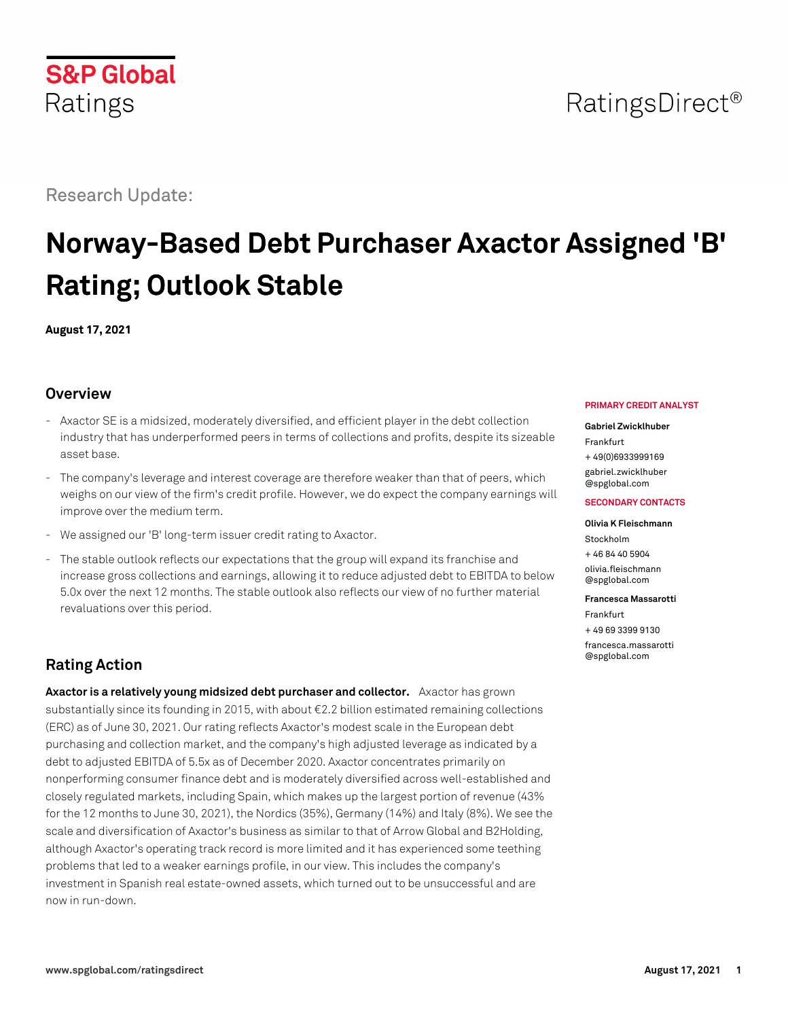# RatingsDirect<sup>®</sup>

Research Update:

# **Norway-Based Debt Purchaser Axactor Assigned 'B' Rating; Outlook Stable**

**August 17, 2021**

# **Overview**

- Axactor SE is a midsized, moderately diversified, and efficient player in the debt collection industry that has underperformed peers in terms of collections and profits, despite its sizeable asset base.
- The company's leverage and interest coverage are therefore weaker than that of peers, which weighs on our view of the firm's credit profile. However, we do expect the company earnings will improve over the medium term.
- We assigned our 'B' long-term issuer credit rating to Axactor.
- The stable outlook reflects our expectations that the group will expand its franchise and increase gross collections and earnings, allowing it to reduce adjusted debt to EBITDA to below 5.0x over the next 12 months. The stable outlook also reflects our view of no further material revaluations over this period.

# **Rating Action**

**Axactor is a relatively young midsized debt purchaser and collector.** Axactor has grown substantially since its founding in 2015, with about €2.2 billion estimated remaining collections (ERC) as of June 30, 2021. Our rating reflects Axactor's modest scale in the European debt purchasing and collection market, and the company's high adjusted leverage as indicated by a debt to adjusted EBITDA of 5.5x as of December 2020. Axactor concentrates primarily on nonperforming consumer finance debt and is moderately diversified across well-established and closely regulated markets, including Spain, which makes up the largest portion of revenue (43% for the 12 months to June 30, 2021), the Nordics (35%), Germany (14%) and Italy (8%). We see the scale and diversification of Axactor's business as similar to that of Arrow Global and B2Holding, although Axactor's operating track record is more limited and it has experienced some teething problems that led to a weaker earnings profile, in our view. This includes the company's investment in Spanish real estate-owned assets, which turned out to be unsuccessful and are now in run-down.

## **PRIMARY CREDIT ANALYST**

### **Gabriel Zwicklhuber**

Frankfurt + 49(0)6933999169

[gabriel.zwicklhuber](mailto:gabriel.zwicklhuber@spglobal.com) [@spglobal.com](mailto:gabriel.zwicklhuber@spglobal.com)

### **SECONDARY CONTACTS**

#### **Olivia K Fleischmann**

Stockholm + 46 84 40 5904 [olivia.fleischmann](mailto:olivia.fleischmann@spglobal.com) [@spglobal.com](mailto:olivia.fleischmann@spglobal.com)

#### **Francesca Massarotti**

Frankfurt + 49 69 3399 9130 [francesca.massarotti](mailto:francesca.massarotti@spglobal.com) [@spglobal.com](mailto:francesca.massarotti@spglobal.com)

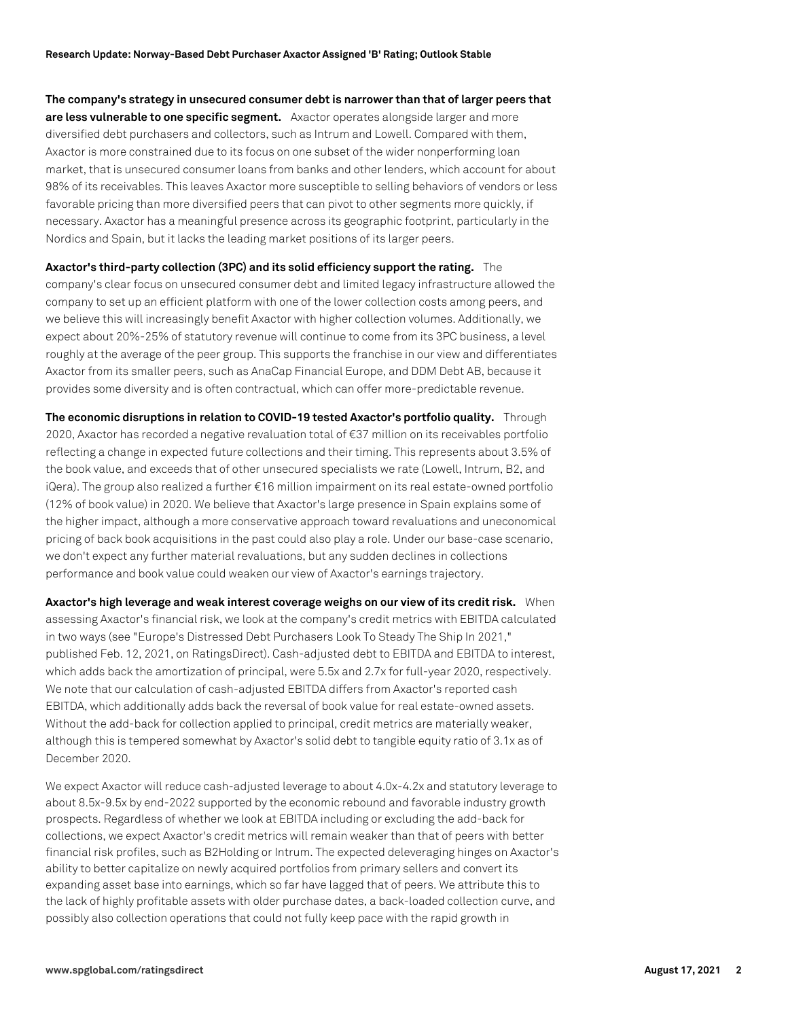**The company's strategy in unsecured consumer debt is narrower than that of larger peers that are less vulnerable to one specific segment.** Axactor operates alongside larger and more diversified debt purchasers and collectors, such as Intrum and Lowell. Compared with them, Axactor is more constrained due to its focus on one subset of the wider nonperforming loan market, that is unsecured consumer loans from banks and other lenders, which account for about 98% of its receivables. This leaves Axactor more susceptible to selling behaviors of vendors or less favorable pricing than more diversified peers that can pivot to other segments more quickly, if necessary. Axactor has a meaningful presence across its geographic footprint, particularly in the Nordics and Spain, but it lacks the leading market positions of its larger peers.

**Axactor's third-party collection (3PC) and its solid efficiency support the rating.** The company's clear focus on unsecured consumer debt and limited legacy infrastructure allowed the company to set up an efficient platform with one of the lower collection costs among peers, and we believe this will increasingly benefit Axactor with higher collection volumes. Additionally, we expect about 20%-25% of statutory revenue will continue to come from its 3PC business, a level roughly at the average of the peer group. This supports the franchise in our view and differentiates Axactor from its smaller peers, such as AnaCap Financial Europe, and DDM Debt AB, because it provides some diversity and is often contractual, which can offer more-predictable revenue.

**The economic disruptions in relation to COVID-19 tested Axactor's portfolio quality.** Through 2020, Axactor has recorded a negative revaluation total of €37 million on its receivables portfolio reflecting a change in expected future collections and their timing. This represents about 3.5% of the book value, and exceeds that of other unsecured specialists we rate (Lowell, Intrum, B2, and iQera). The group also realized a further €16 million impairment on its real estate-owned portfolio (12% of book value) in 2020. We believe that Axactor's large presence in Spain explains some of the higher impact, although a more conservative approach toward revaluations and uneconomical pricing of back book acquisitions in the past could also play a role. Under our base-case scenario, we don't expect any further material revaluations, but any sudden declines in collections performance and book value could weaken our view of Axactor's earnings trajectory.

**Axactor's high leverage and weak interest coverage weighs on our view of its credit risk.** When assessing Axactor's financial risk, we look at the company's credit metrics with EBITDA calculated in two ways (see "Europe's Distressed Debt Purchasers Look To Steady The Ship In 2021," published Feb. 12, 2021, on RatingsDirect). Cash-adjusted debt to EBITDA and EBITDA to interest, which adds back the amortization of principal, were 5.5x and 2.7x for full-year 2020, respectively. We note that our calculation of cash-adjusted EBITDA differs from Axactor's reported cash EBITDA, which additionally adds back the reversal of book value for real estate-owned assets. Without the add-back for collection applied to principal, credit metrics are materially weaker, although this is tempered somewhat by Axactor's solid debt to tangible equity ratio of 3.1x as of December 2020.

We expect Axactor will reduce cash-adjusted leverage to about 4.0x-4.2x and statutory leverage to about 8.5x-9.5x by end-2022 supported by the economic rebound and favorable industry growth prospects. Regardless of whether we look at EBITDA including or excluding the add-back for collections, we expect Axactor's credit metrics will remain weaker than that of peers with better financial risk profiles, such as B2Holding or Intrum. The expected deleveraging hinges on Axactor's ability to better capitalize on newly acquired portfolios from primary sellers and convert its expanding asset base into earnings, which so far have lagged that of peers. We attribute this to the lack of highly profitable assets with older purchase dates, a back-loaded collection curve, and possibly also collection operations that could not fully keep pace with the rapid growth in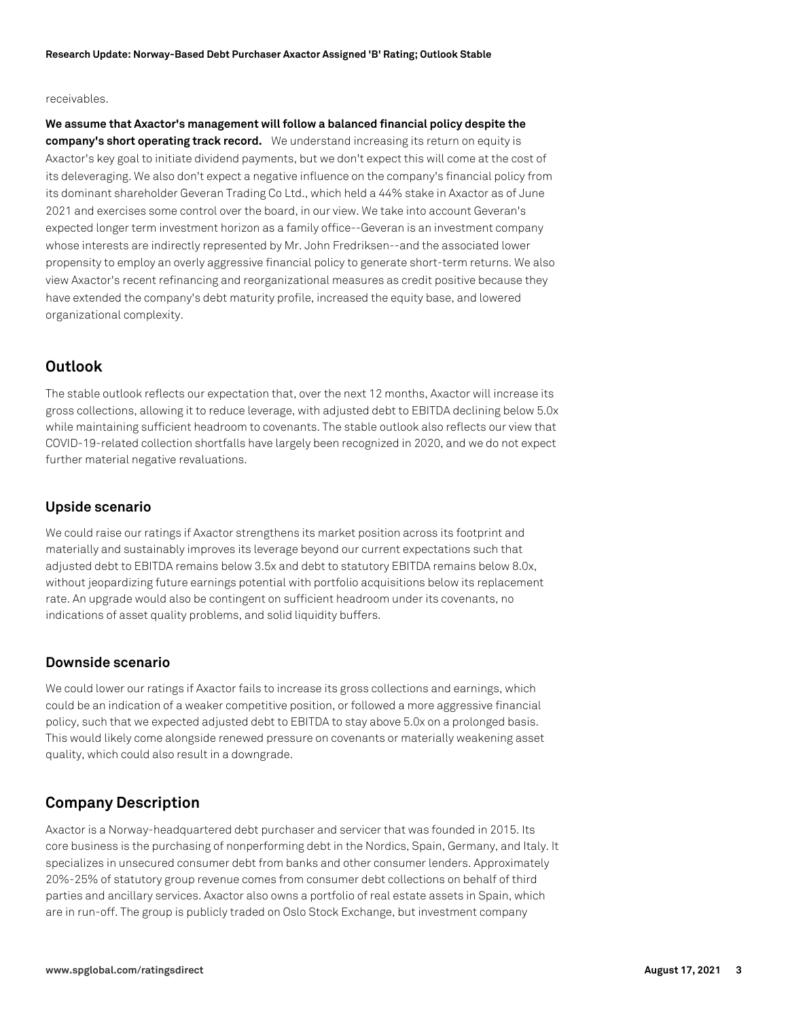## receivables.

**We assume that Axactor's management will follow a balanced financial policy despite the company's short operating track record.** We understand increasing its return on equity is Axactor's key goal to initiate dividend payments, but we don't expect this will come at the cost of its deleveraging. We also don't expect a negative influence on the company's financial policy from its dominant shareholder Geveran Trading Co Ltd., which held a 44% stake in Axactor as of June 2021 and exercises some control over the board, in our view. We take into account Geveran's expected longer term investment horizon as a family office--Geveran is an investment company whose interests are indirectly represented by Mr. John Fredriksen--and the associated lower propensity to employ an overly aggressive financial policy to generate short-term returns. We also view Axactor's recent refinancing and reorganizational measures as credit positive because they have extended the company's debt maturity profile, increased the equity base, and lowered organizational complexity.

# **Outlook**

The stable outlook reflects our expectation that, over the next 12 months, Axactor will increase its gross collections, allowing it to reduce leverage, with adjusted debt to EBITDA declining below 5.0x while maintaining sufficient headroom to covenants. The stable outlook also reflects our view that COVID-19-related collection shortfalls have largely been recognized in 2020, and we do not expect further material negative revaluations.

## **Upside scenario**

We could raise our ratings if Axactor strengthens its market position across its footprint and materially and sustainably improves its leverage beyond our current expectations such that adjusted debt to EBITDA remains below 3.5x and debt to statutory EBITDA remains below 8.0x, without jeopardizing future earnings potential with portfolio acquisitions below its replacement rate. An upgrade would also be contingent on sufficient headroom under its covenants, no indications of asset quality problems, and solid liquidity buffers.

## **Downside scenario**

We could lower our ratings if Axactor fails to increase its gross collections and earnings, which could be an indication of a weaker competitive position, or followed a more aggressive financial policy, such that we expected adjusted debt to EBITDA to stay above 5.0x on a prolonged basis. This would likely come alongside renewed pressure on covenants or materially weakening asset quality, which could also result in a downgrade.

# **Company Description**

Axactor is a Norway-headquartered debt purchaser and servicer that was founded in 2015. Its core business is the purchasing of nonperforming debt in the Nordics, Spain, Germany, and Italy. It specializes in unsecured consumer debt from banks and other consumer lenders. Approximately 20%-25% of statutory group revenue comes from consumer debt collections on behalf of third parties and ancillary services. Axactor also owns a portfolio of real estate assets in Spain, which are in run-off. The group is publicly traded on Oslo Stock Exchange, but investment company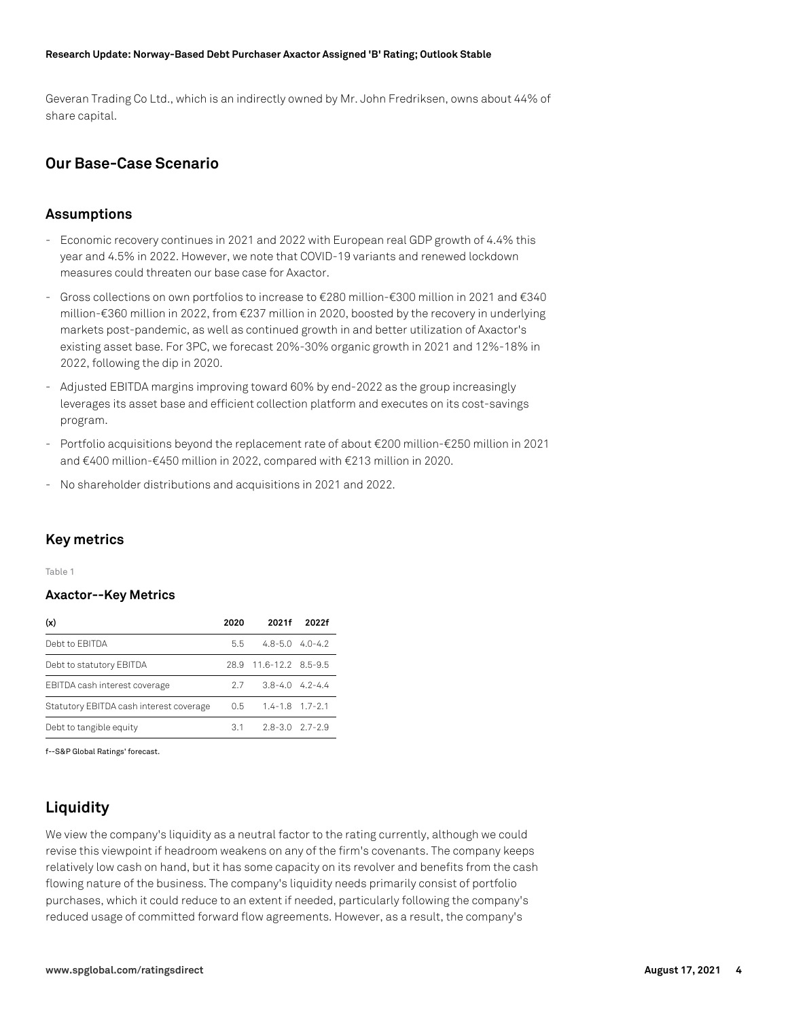#### **Research Update: Norway-Based Debt Purchaser Axactor Assigned 'B' Rating; Outlook Stable**

Geveran Trading Co Ltd., which is an indirectly owned by Mr. John Fredriksen, owns about 44% of share capital.

# **Our Base-Case Scenario**

## **Assumptions**

- Economic recovery continues in 2021 and 2022 with European real GDP growth of 4.4% this year and 4.5% in 2022. However, we note that COVID-19 variants and renewed lockdown measures could threaten our base case for Axactor.
- Gross collections on own portfolios to increase to €280 million-€300 million in 2021 and €340 million-€360 million in 2022, from €237 million in 2020, boosted by the recovery in underlying markets post-pandemic, as well as continued growth in and better utilization of Axactor's existing asset base. For 3PC, we forecast 20%-30% organic growth in 2021 and 12%-18% in 2022, following the dip in 2020.
- Adjusted EBITDA margins improving toward 60% by end-2022 as the group increasingly leverages its asset base and efficient collection platform and executes on its cost-savings program.
- Portfolio acquisitions beyond the replacement rate of about €200 million-€250 million in 2021 and €400 million-€450 million in 2022, compared with €213 million in 2020.
- No shareholder distributions and acquisitions in 2021 and 2022.

## **Key metrics**

Table 1

## **Axactor--Key Metrics**

| (x)                                     | 2020          | 2021f                   | 2022f |
|-----------------------------------------|---------------|-------------------------|-------|
| Debt to EBITDA                          | 5.5           | $4.8 - 5.0$ $4.0 - 4.2$ |       |
| Debt to statutory EBITDA                |               | 28.9 11.6-12.2 8.5-9.5  |       |
| EBITDA cash interest coverage           | 27            | $3.8 - 4.0$ 4.2-4.4     |       |
| Statutory EBITDA cash interest coverage | $0.5^{\circ}$ | $1.4 - 1.8$ $1.7 - 2.1$ |       |
| Debt to tangible equity                 | 3.1           | $2.8 - 3.0$ $2.7 - 2.9$ |       |

f--S&P Global Ratings' forecast.

# **Liquidity**

We view the company's liquidity as a neutral factor to the rating currently, although we could revise this viewpoint if headroom weakens on any of the firm's covenants. The company keeps relatively low cash on hand, but it has some capacity on its revolver and benefits from the cash flowing nature of the business. The company's liquidity needs primarily consist of portfolio purchases, which it could reduce to an extent if needed, particularly following the company's reduced usage of committed forward flow agreements. However, as a result, the company's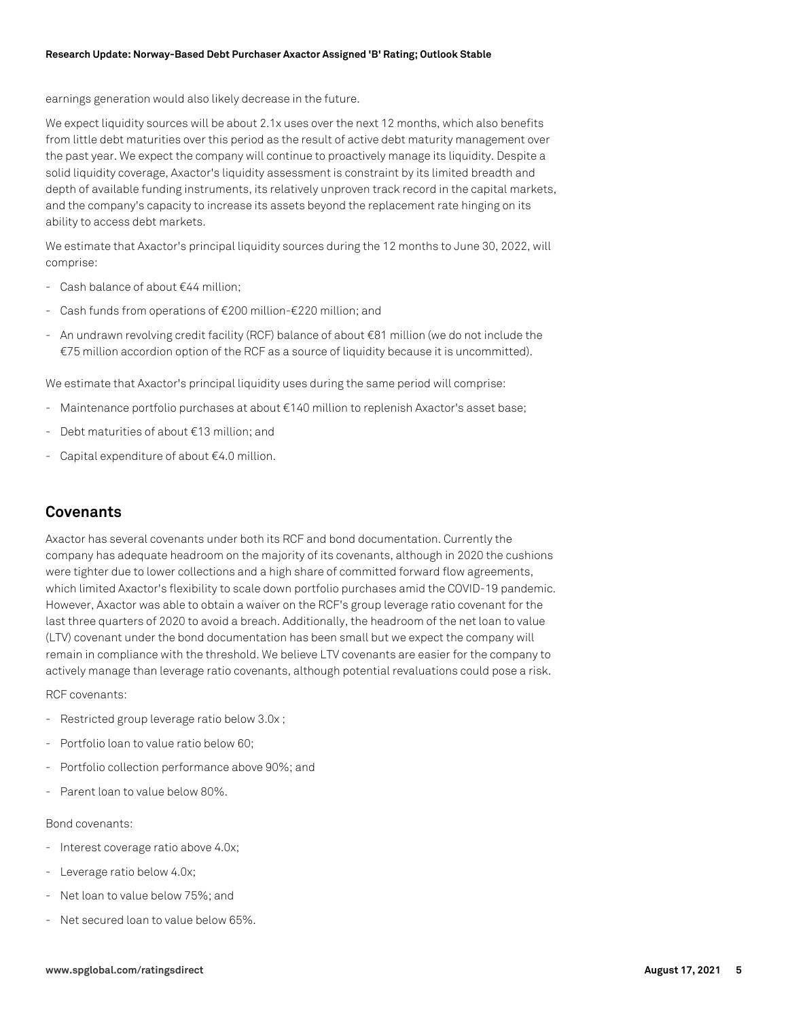earnings generation would also likely decrease in the future.

We expect liquidity sources will be about 2.1x uses over the next 12 months, which also benefits from little debt maturities over this period as the result of active debt maturity management over the past year. We expect the company will continue to proactively manage its liquidity. Despite a solid liquidity coverage, Axactor's liquidity assessment is constraint by its limited breadth and depth of available funding instruments, its relatively unproven track record in the capital markets, and the company's capacity to increase its assets beyond the replacement rate hinging on its ability to access debt markets.

We estimate that Axactor's principal liquidity sources during the 12 months to June 30, 2022, will comprise:

- Cash balance of about €44 million;
- Cash funds from operations of €200 million-€220 million; and
- An undrawn revolving credit facility (RCF) balance of about €81 million (we do not include the €75 million accordion option of the RCF as a source of liquidity because it is uncommitted).

We estimate that Axactor's principal liquidity uses during the same period will comprise:

- Maintenance portfolio purchases at about €140 million to replenish Axactor's asset base;
- Debt maturities of about €13 million; and
- Capital expenditure of about €4.0 million.

# **Covenants**

Axactor has several covenants under both its RCF and bond documentation. Currently the company has adequate headroom on the majority of its covenants, although in 2020 the cushions were tighter due to lower collections and a high share of committed forward flow agreements, which limited Axactor's flexibility to scale down portfolio purchases amid the COVID-19 pandemic. However, Axactor was able to obtain a waiver on the RCF's group leverage ratio covenant for the last three quarters of 2020 to avoid a breach. Additionally, the headroom of the net loan to value (LTV) covenant under the bond documentation has been small but we expect the company will remain in compliance with the threshold. We believe LTV covenants are easier for the company to actively manage than leverage ratio covenants, although potential revaluations could pose a risk.

RCF covenants:

- Restricted group leverage ratio below 3.0x ;
- Portfolio loan to value ratio below 60;
- Portfolio collection performance above 90%; and
- Parent loan to value below 80%.

## Bond covenants:

- Interest coverage ratio above 4.0x;
- Leverage ratio below 4.0x;
- Net loan to value below 75%; and
- Net secured loan to value below 65%.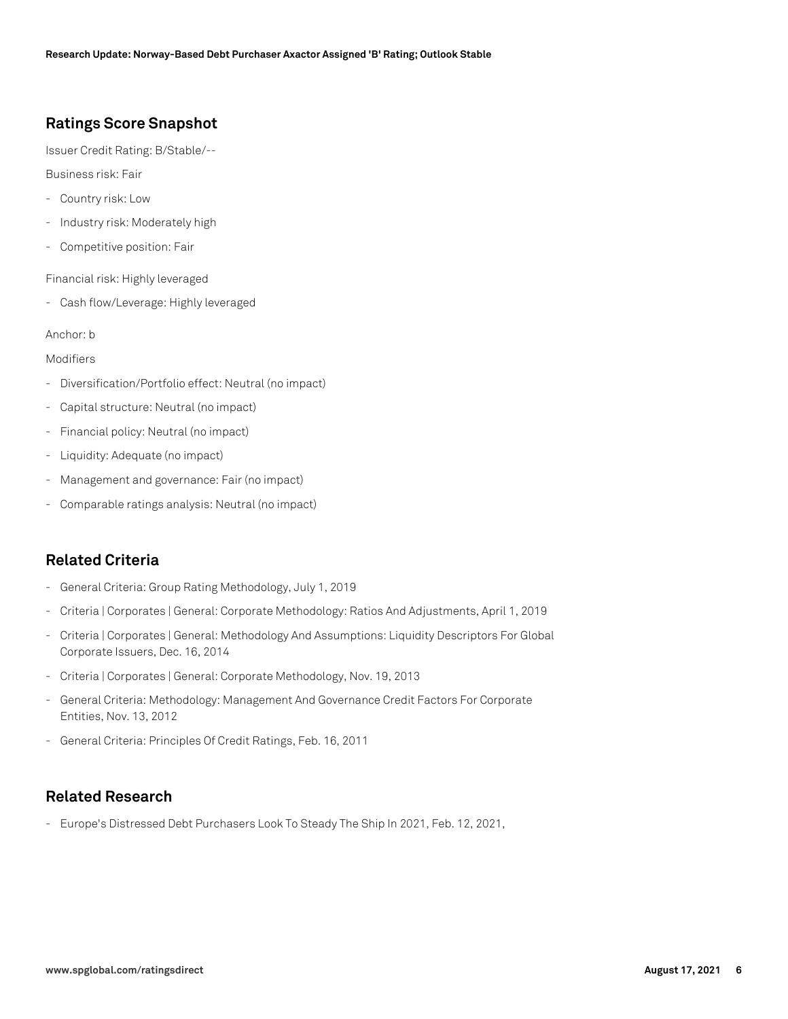# **Ratings Score Snapshot**

Issuer Credit Rating: B/Stable/--

Business risk: Fair

- Country risk: Low
- Industry risk: Moderately high
- Competitive position: Fair

Financial risk: Highly leveraged

- Cash flow/Leverage: Highly leveraged

## Anchor: b

## Modifiers

- Diversification/Portfolio effect: Neutral (no impact)
- Capital structure: Neutral (no impact)
- Financial policy: Neutral (no impact)
- Liquidity: Adequate (no impact)
- Management and governance: Fair (no impact)
- Comparable ratings analysis: Neutral (no impact)

# **Related Criteria**

- General Criteria: Group Rating Methodology, July 1, 2019
- Criteria | Corporates | General: Corporate Methodology: Ratios And Adjustments, April 1, 2019
- Criteria | Corporates | General: Methodology And Assumptions: Liquidity Descriptors For Global Corporate Issuers, Dec. 16, 2014
- Criteria | Corporates | General: Corporate Methodology, Nov. 19, 2013
- General Criteria: Methodology: Management And Governance Credit Factors For Corporate Entities, Nov. 13, 2012
- General Criteria: Principles Of Credit Ratings, Feb. 16, 2011

# **Related Research**

- Europe's Distressed Debt Purchasers Look To Steady The Ship In 2021, Feb. 12, 2021,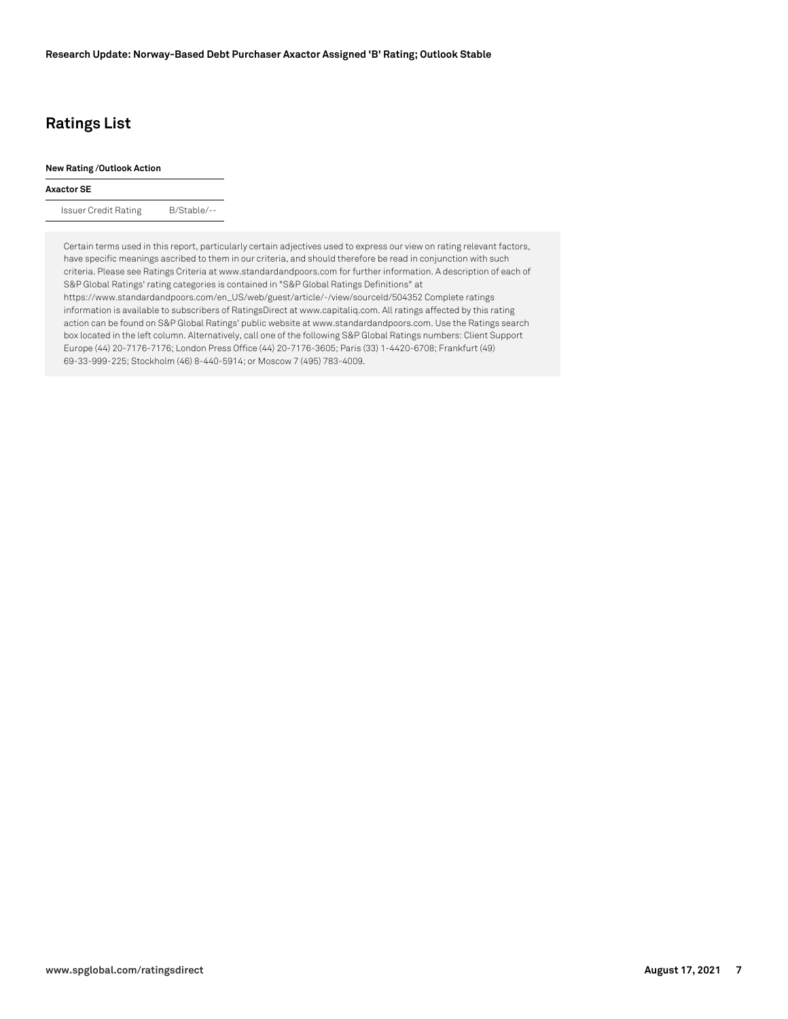# **Ratings List**

### **New Rating /Outlook Action**

### **Axactor SE**

Issuer Credit Rating B/Stable/--

Certain terms used in this report, particularly certain adjectives used to express our view on rating relevant factors, have specific meanings ascribed to them in our criteria, and should therefore be read in conjunction with such criteria. Please see Ratings Criteria at www.standardandpoors.com for further information. A description of each of S&P Global Ratings' rating categories is contained in "S&P Global Ratings Definitions" at https://www.standardandpoors.com/en\_US/web/guest/article/-/view/sourceId/504352 Complete ratings information is available to subscribers of RatingsDirect at www.capitaliq.com. All ratings affected by this rating action can be found on S&P Global Ratings' public website at www.standardandpoors.com. Use the Ratings search box located in the left column. Alternatively, call one of the following S&P Global Ratings numbers: Client Support Europe (44) 20-7176-7176; London Press Office (44) 20-7176-3605; Paris (33) 1-4420-6708; Frankfurt (49) 69-33-999-225; Stockholm (46) 8-440-5914; or Moscow 7 (495) 783-4009.